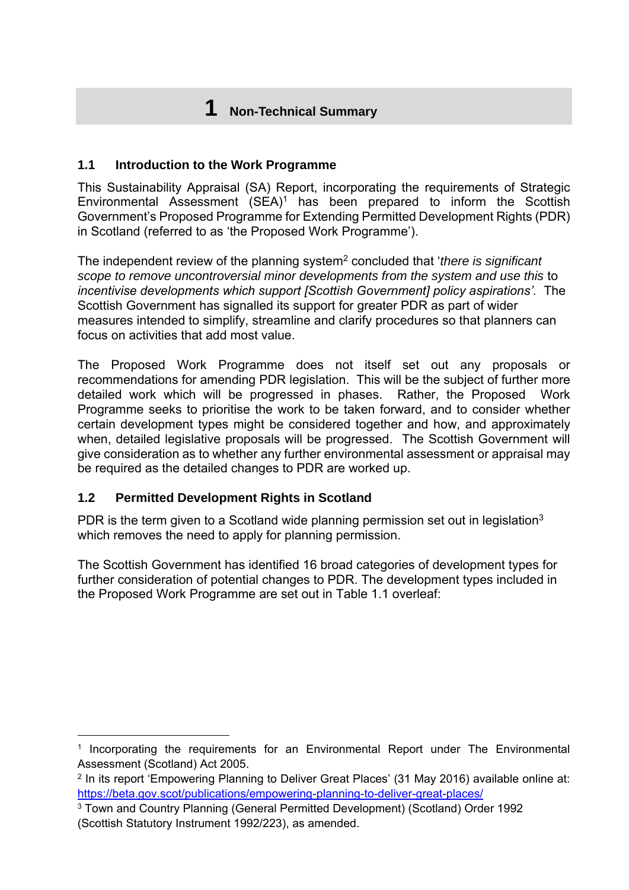# **1 Non-Technical Summary**

### **1.1 Introduction to the Work Programme**

This Sustainability Appraisal (SA) Report, incorporating the requirements of Strategic Environmental Assessment  $(SEA)^1$  has been prepared to inform the Scottish Government's Proposed Programme for Extending Permitted Development Rights (PDR) in Scotland (referred to as 'the Proposed Work Programme').

The independent review of the planning system<sup>2</sup> concluded that '*there is significant scope to remove uncontroversial minor developments from the system and use this* to *incentivise developments which support [Scottish Government] policy aspirations'.* The Scottish Government has signalled its support for greater PDR as part of wider measures intended to simplify, streamline and clarify procedures so that planners can focus on activities that add most value.

The Proposed Work Programme does not itself set out any proposals or recommendations for amending PDR legislation. This will be the subject of further more detailed work which will be progressed in phases. Rather, the Proposed Work Programme seeks to prioritise the work to be taken forward, and to consider whether certain development types might be considered together and how, and approximately when, detailed legislative proposals will be progressed. The Scottish Government will give consideration as to whether any further environmental assessment or appraisal may be required as the detailed changes to PDR are worked up.

## **1.2 Permitted Development Rights in Scotland**

PDR is the term given to a Scotland wide planning permission set out in legislation<sup>3</sup> which removes the need to apply for planning permission.

The Scottish Government has identified 16 broad categories of development types for further consideration of potential changes to PDR. The development types included in the Proposed Work Programme are set out in [Table 1.1](#page-1-0) overleaf:

 $\overline{a}$ <sup>1</sup> Incorporating the requirements for an Environmental Report under The Environmental Assessment (Scotland) Act 2005.

<sup>&</sup>lt;sup>2</sup> In its report 'Empowering Planning to Deliver Great Places' (31 May 2016) available online at: <https://beta.gov.scot/publications/empowering-planning-to-deliver-great-places/>

<sup>3</sup> Town and Country Planning (General Permitted Development) (Scotland) Order 1992 (Scottish Statutory Instrument 1992/223), as amended.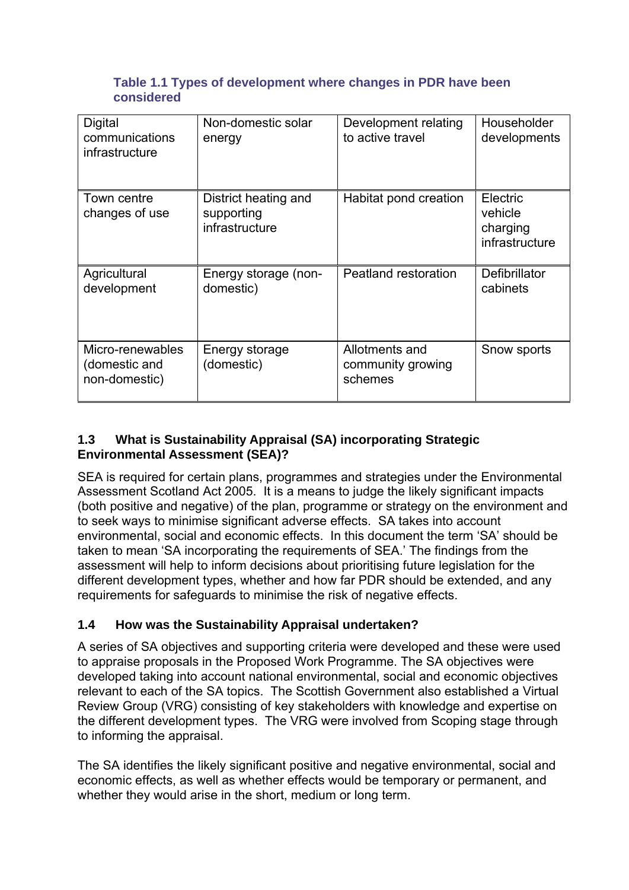#### <span id="page-1-0"></span>**Table 1.1 Types of development where changes in PDR have been considered**

| <b>Digital</b><br>communications<br>infrastructure | Non-domestic solar<br>energy                         | Development relating<br>to active travel       | Householder<br>developments                       |
|----------------------------------------------------|------------------------------------------------------|------------------------------------------------|---------------------------------------------------|
| Town centre<br>changes of use                      | District heating and<br>supporting<br>infrastructure | Habitat pond creation                          | Electric<br>vehicle<br>charging<br>infrastructure |
| Agricultural<br>development                        | Energy storage (non-<br>domestic)                    | Peatland restoration                           | Defibrillator<br>cabinets                         |
| Micro-renewables<br>(domestic and<br>non-domestic) | Energy storage<br>(domestic)                         | Allotments and<br>community growing<br>schemes | Snow sports                                       |

# **1.3 What is Sustainability Appraisal (SA) incorporating Strategic Environmental Assessment (SEA)?**

SEA is required for certain plans, programmes and strategies under the Environmental Assessment Scotland Act 2005. It is a means to judge the likely significant impacts (both positive and negative) of the plan, programme or strategy on the environment and to seek ways to minimise significant adverse effects. SA takes into account environmental, social and economic effects. In this document the term 'SA' should be taken to mean 'SA incorporating the requirements of SEA.' The findings from the assessment will help to inform decisions about prioritising future legislation for the different development types, whether and how far PDR should be extended, and any requirements for safeguards to minimise the risk of negative effects.

# **1.4 How was the Sustainability Appraisal undertaken?**

A series of SA objectives and supporting criteria were developed and these were used to appraise proposals in the Proposed Work Programme. The SA objectives were developed taking into account national environmental, social and economic objectives relevant to each of the SA topics. The Scottish Government also established a Virtual Review Group (VRG) consisting of key stakeholders with knowledge and expertise on the different development types. The VRG were involved from Scoping stage through to informing the appraisal.

The SA identifies the likely significant positive and negative environmental, social and economic effects, as well as whether effects would be temporary or permanent, and whether they would arise in the short, medium or long term.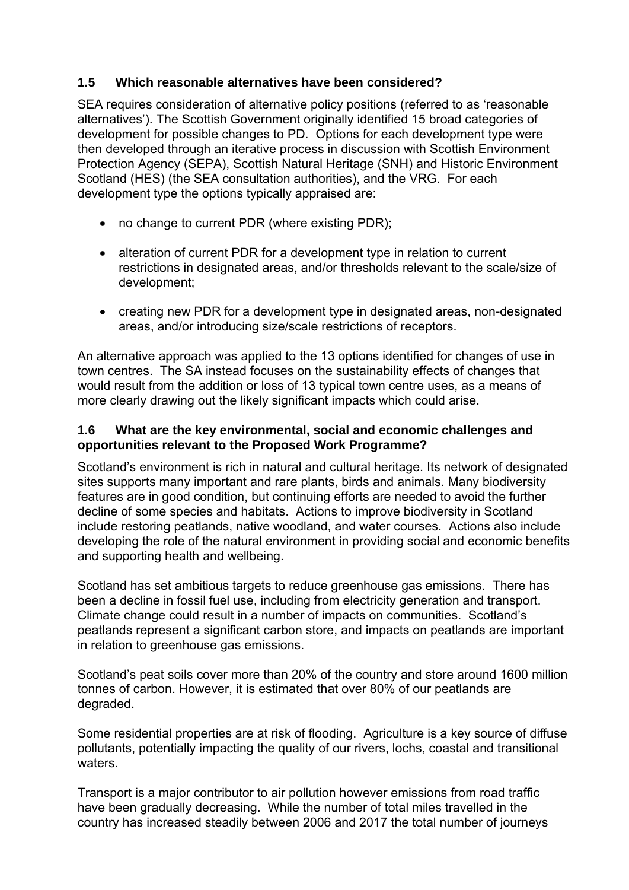## **1.5 Which reasonable alternatives have been considered?**

SEA requires consideration of alternative policy positions (referred to as 'reasonable alternatives'). The Scottish Government originally identified 15 broad categories of development for possible changes to PD. Options for each development type were then developed through an iterative process in discussion with Scottish Environment Protection Agency (SEPA), Scottish Natural Heritage (SNH) and Historic Environment Scotland (HES) (the SEA consultation authorities), and the VRG. For each development type the options typically appraised are:

- no change to current PDR (where existing PDR);
- alteration of current PDR for a development type in relation to current restrictions in designated areas, and/or thresholds relevant to the scale/size of development;
- creating new PDR for a development type in designated areas, non-designated areas, and/or introducing size/scale restrictions of receptors.

An alternative approach was applied to the 13 options identified for changes of use in town centres. The SA instead focuses on the sustainability effects of changes that would result from the addition or loss of 13 typical town centre uses, as a means of more clearly drawing out the likely significant impacts which could arise.

## **1.6 What are the key environmental, social and economic challenges and opportunities relevant to the Proposed Work Programme?**

Scotland's environment is rich in natural and cultural heritage. Its network of designated sites supports many important and rare plants, birds and animals. Many biodiversity features are in good condition, but continuing efforts are needed to avoid the further decline of some species and habitats. Actions to improve biodiversity in Scotland include restoring peatlands, native woodland, and water courses. Actions also include developing the role of the natural environment in providing social and economic benefits and supporting health and wellbeing.

Scotland has set ambitious targets to reduce greenhouse gas emissions. There has been a decline in fossil fuel use, including from electricity generation and transport. Climate change could result in a number of impacts on communities. Scotland's peatlands represent a significant carbon store, and impacts on peatlands are important in relation to greenhouse gas emissions.

Scotland's peat soils cover more than 20% of the country and store around 1600 million tonnes of carbon. However, it is estimated that over 80% of our peatlands are degraded.

Some residential properties are at risk of flooding. Agriculture is a key source of diffuse pollutants, potentially impacting the quality of our rivers, lochs, coastal and transitional waters.

Transport is a major contributor to air pollution however emissions from road traffic have been gradually decreasing. While the number of total miles travelled in the country has increased steadily between 2006 and 2017 the total number of journeys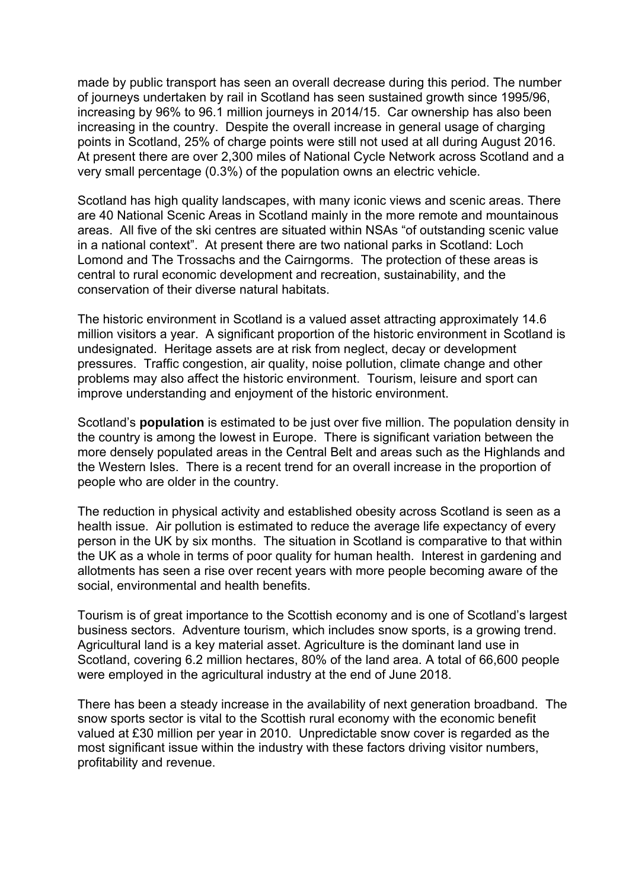made by public transport has seen an overall decrease during this period. The number of journeys undertaken by rail in Scotland has seen sustained growth since 1995/96, increasing by 96% to 96.1 million journeys in 2014/15. Car ownership has also been increasing in the country. Despite the overall increase in general usage of charging points in Scotland, 25% of charge points were still not used at all during August 2016. At present there are over 2,300 miles of National Cycle Network across Scotland and a very small percentage (0.3%) of the population owns an electric vehicle.

Scotland has high quality landscapes, with many iconic views and scenic areas. There are 40 National Scenic Areas in Scotland mainly in the more remote and mountainous areas. All five of the ski centres are situated within NSAs "of outstanding scenic value in a national context". At present there are two national parks in Scotland: Loch Lomond and The Trossachs and the Cairngorms. The protection of these areas is central to rural economic development and recreation, sustainability, and the conservation of their diverse natural habitats.

The historic environment in Scotland is a valued asset attracting approximately 14.6 million visitors a year. A significant proportion of the historic environment in Scotland is undesignated. Heritage assets are at risk from neglect, decay or development pressures. Traffic congestion, air quality, noise pollution, climate change and other problems may also affect the historic environment. Tourism, leisure and sport can improve understanding and enjoyment of the historic environment.

Scotland's **population** is estimated to be just over five million. The population density in the country is among the lowest in Europe. There is significant variation between the more densely populated areas in the Central Belt and areas such as the Highlands and the Western Isles. There is a recent trend for an overall increase in the proportion of people who are older in the country.

The reduction in physical activity and established obesity across Scotland is seen as a health issue. Air pollution is estimated to reduce the average life expectancy of every person in the UK by six months. The situation in Scotland is comparative to that within the UK as a whole in terms of poor quality for human health. Interest in gardening and allotments has seen a rise over recent years with more people becoming aware of the social, environmental and health benefits.

Tourism is of great importance to the Scottish economy and is one of Scotland's largest business sectors. Adventure tourism, which includes snow sports, is a growing trend. Agricultural land is a key material asset. Agriculture is the dominant land use in Scotland, covering 6.2 million hectares, 80% of the land area. A total of 66,600 people were employed in the agricultural industry at the end of June 2018.

There has been a steady increase in the availability of next generation broadband. The snow sports sector is vital to the Scottish rural economy with the economic benefit valued at £30 million per year in 2010. Unpredictable snow cover is regarded as the most significant issue within the industry with these factors driving visitor numbers, profitability and revenue.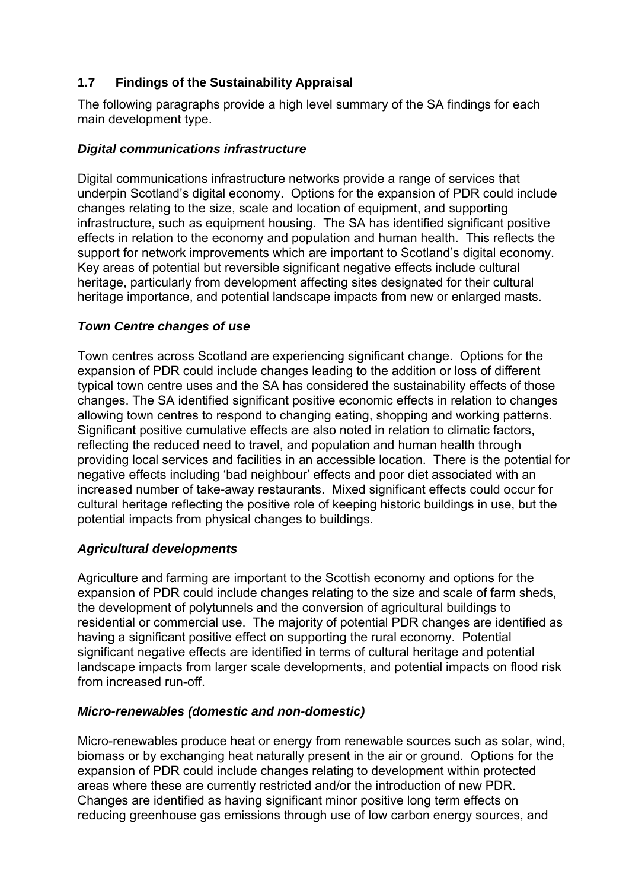# **1.7 Findings of the Sustainability Appraisal**

The following paragraphs provide a high level summary of the SA findings for each main development type.

## *Digital communications infrastructure*

Digital communications infrastructure networks provide a range of services that underpin Scotland's digital economy. Options for the expansion of PDR could include changes relating to the size, scale and location of equipment, and supporting infrastructure, such as equipment housing. The SA has identified significant positive effects in relation to the economy and population and human health. This reflects the support for network improvements which are important to Scotland's digital economy. Key areas of potential but reversible significant negative effects include cultural heritage, particularly from development affecting sites designated for their cultural heritage importance, and potential landscape impacts from new or enlarged masts.

## *Town Centre changes of use*

Town centres across Scotland are experiencing significant change. Options for the expansion of PDR could include changes leading to the addition or loss of different typical town centre uses and the SA has considered the sustainability effects of those changes. The SA identified significant positive economic effects in relation to changes allowing town centres to respond to changing eating, shopping and working patterns. Significant positive cumulative effects are also noted in relation to climatic factors, reflecting the reduced need to travel, and population and human health through providing local services and facilities in an accessible location. There is the potential for negative effects including 'bad neighbour' effects and poor diet associated with an increased number of take-away restaurants. Mixed significant effects could occur for cultural heritage reflecting the positive role of keeping historic buildings in use, but the potential impacts from physical changes to buildings.

#### *Agricultural developments*

Agriculture and farming are important to the Scottish economy and options for the expansion of PDR could include changes relating to the size and scale of farm sheds, the development of polytunnels and the conversion of agricultural buildings to residential or commercial use. The majority of potential PDR changes are identified as having a significant positive effect on supporting the rural economy. Potential significant negative effects are identified in terms of cultural heritage and potential landscape impacts from larger scale developments, and potential impacts on flood risk from increased run-off.

#### *Micro-renewables (domestic and non-domestic)*

Micro-renewables produce heat or energy from renewable sources such as solar, wind, biomass or by exchanging heat naturally present in the air or ground. Options for the expansion of PDR could include changes relating to development within protected areas where these are currently restricted and/or the introduction of new PDR. Changes are identified as having significant minor positive long term effects on reducing greenhouse gas emissions through use of low carbon energy sources, and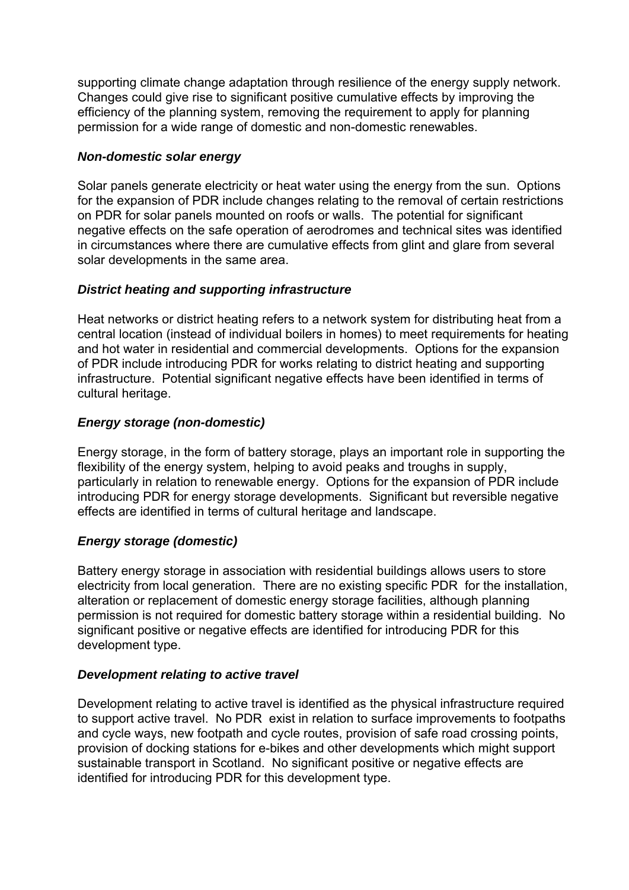supporting climate change adaptation through resilience of the energy supply network. Changes could give rise to significant positive cumulative effects by improving the efficiency of the planning system, removing the requirement to apply for planning permission for a wide range of domestic and non-domestic renewables.

#### *Non-domestic solar energy*

Solar panels generate electricity or heat water using the energy from the sun. Options for the expansion of PDR include changes relating to the removal of certain restrictions on PDR for solar panels mounted on roofs or walls. The potential for significant negative effects on the safe operation of aerodromes and technical sites was identified in circumstances where there are cumulative effects from glint and glare from several solar developments in the same area.

## *District heating and supporting infrastructure*

Heat networks or district heating refers to a network system for distributing heat from a central location (instead of individual boilers in homes) to meet requirements for heating and hot water in residential and commercial developments. Options for the expansion of PDR include introducing PDR for works relating to district heating and supporting infrastructure. Potential significant negative effects have been identified in terms of cultural heritage.

# *Energy storage (non-domestic)*

Energy storage, in the form of battery storage, plays an important role in supporting the flexibility of the energy system, helping to avoid peaks and troughs in supply, particularly in relation to renewable energy. Options for the expansion of PDR include introducing PDR for energy storage developments. Significant but reversible negative effects are identified in terms of cultural heritage and landscape.

# *Energy storage (domestic)*

Battery energy storage in association with residential buildings allows users to store electricity from local generation. There are no existing specific PDR for the installation, alteration or replacement of domestic energy storage facilities, although planning permission is not required for domestic battery storage within a residential building. No significant positive or negative effects are identified for introducing PDR for this development type.

## *Development relating to active travel*

Development relating to active travel is identified as the physical infrastructure required to support active travel. No PDR exist in relation to surface improvements to footpaths and cycle ways, new footpath and cycle routes, provision of safe road crossing points, provision of docking stations for e-bikes and other developments which might support sustainable transport in Scotland. No significant positive or negative effects are identified for introducing PDR for this development type.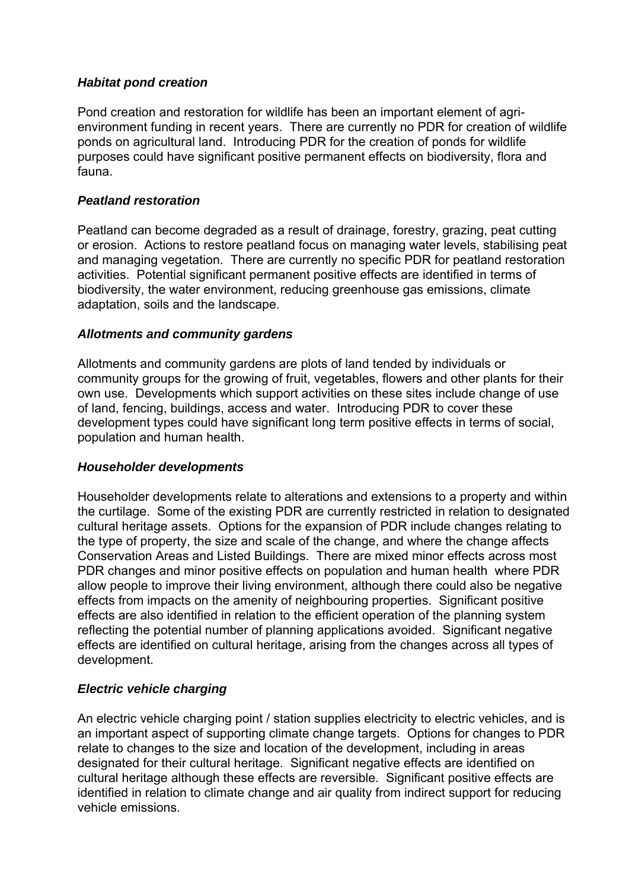#### *Habitat pond creation*

Pond creation and restoration for wildlife has been an important element of agrienvironment funding in recent years. There are currently no PDR for creation of wildlife ponds on agricultural land. Introducing PDR for the creation of ponds for wildlife purposes could have significant positive permanent effects on biodiversity, flora and fauna.

#### *Peatland restoration*

Peatland can become degraded as a result of drainage, forestry, grazing, peat cutting or erosion. Actions to restore peatland focus on managing water levels, stabilising peat and managing vegetation. There are currently no specific PDR for peatland restoration activities. Potential significant permanent positive effects are identified in terms of biodiversity, the water environment, reducing greenhouse gas emissions, climate adaptation, soils and the landscape.

#### *Allotments and community gardens*

Allotments and community gardens are plots of land tended by individuals or community groups for the growing of fruit, vegetables, flowers and other plants for their own use. Developments which support activities on these sites include change of use of land, fencing, buildings, access and water. Introducing PDR to cover these development types could have significant long term positive effects in terms of social, population and human health.

#### *Householder developments*

Householder developments relate to alterations and extensions to a property and within the curtilage. Some of the existing PDR are currently restricted in relation to designated cultural heritage assets. Options for the expansion of PDR include changes relating to the type of property, the size and scale of the change, and where the change affects Conservation Areas and Listed Buildings. There are mixed minor effects across most PDR changes and minor positive effects on population and human health where PDR allow people to improve their living environment, although there could also be negative effects from impacts on the amenity of neighbouring properties. Significant positive effects are also identified in relation to the efficient operation of the planning system reflecting the potential number of planning applications avoided. Significant negative effects are identified on cultural heritage, arising from the changes across all types of development.

## *Electric vehicle charging*

An electric vehicle charging point / station supplies electricity to electric vehicles, and is an important aspect of supporting climate change targets. Options for changes to PDR relate to changes to the size and location of the development, including in areas designated for their cultural heritage. Significant negative effects are identified on cultural heritage although these effects are reversible. Significant positive effects are identified in relation to climate change and air quality from indirect support for reducing vehicle emissions.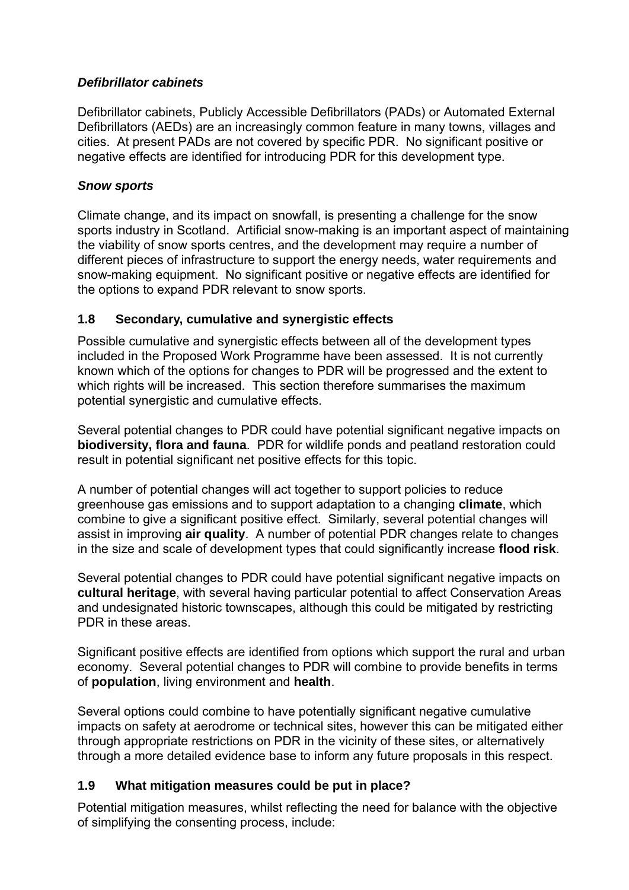#### *Defibrillator cabinets*

Defibrillator cabinets, Publicly Accessible Defibrillators (PADs) or Automated External Defibrillators (AEDs) are an increasingly common feature in many towns, villages and cities. At present PADs are not covered by specific PDR. No significant positive or negative effects are identified for introducing PDR for this development type.

### *Snow sports*

Climate change, and its impact on snowfall, is presenting a challenge for the snow sports industry in Scotland. Artificial snow-making is an important aspect of maintaining the viability of snow sports centres, and the development may require a number of different pieces of infrastructure to support the energy needs, water requirements and snow-making equipment. No significant positive or negative effects are identified for the options to expand PDR relevant to snow sports.

## **1.8 Secondary, cumulative and synergistic effects**

Possible cumulative and synergistic effects between all of the development types included in the Proposed Work Programme have been assessed. It is not currently known which of the options for changes to PDR will be progressed and the extent to which rights will be increased. This section therefore summarises the maximum potential synergistic and cumulative effects.

Several potential changes to PDR could have potential significant negative impacts on **biodiversity, flora and fauna**. PDR for wildlife ponds and peatland restoration could result in potential significant net positive effects for this topic.

A number of potential changes will act together to support policies to reduce greenhouse gas emissions and to support adaptation to a changing **climate**, which combine to give a significant positive effect. Similarly, several potential changes will assist in improving **air quality**. A number of potential PDR changes relate to changes in the size and scale of development types that could significantly increase **flood risk**.

Several potential changes to PDR could have potential significant negative impacts on **cultural heritage**, with several having particular potential to affect Conservation Areas and undesignated historic townscapes, although this could be mitigated by restricting PDR in these areas.

Significant positive effects are identified from options which support the rural and urban economy. Several potential changes to PDR will combine to provide benefits in terms of **population**, living environment and **health**.

Several options could combine to have potentially significant negative cumulative impacts on safety at aerodrome or technical sites, however this can be mitigated either through appropriate restrictions on PDR in the vicinity of these sites, or alternatively through a more detailed evidence base to inform any future proposals in this respect.

## **1.9 What mitigation measures could be put in place?**

Potential mitigation measures, whilst reflecting the need for balance with the objective of simplifying the consenting process, include: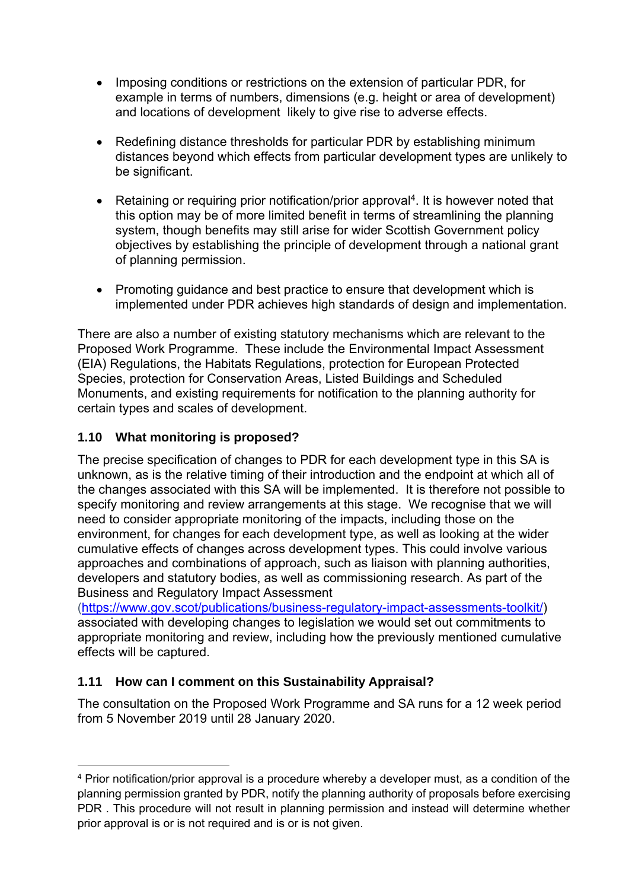- Imposing conditions or restrictions on the extension of particular PDR, for example in terms of numbers, dimensions (e.g. height or area of development) and locations of development likely to give rise to adverse effects.
- Redefining distance thresholds for particular PDR by establishing minimum distances beyond which effects from particular development types are unlikely to be significant.
- Retaining or requiring prior notification/prior approval<sup>4</sup>. It is however noted that this option may be of more limited benefit in terms of streamlining the planning system, though benefits may still arise for wider Scottish Government policy objectives by establishing the principle of development through a national grant of planning permission.
- Promoting guidance and best practice to ensure that development which is implemented under PDR achieves high standards of design and implementation.

There are also a number of existing statutory mechanisms which are relevant to the Proposed Work Programme. These include the Environmental Impact Assessment (EIA) Regulations, the Habitats Regulations, protection for European Protected Species, protection for Conservation Areas, Listed Buildings and Scheduled Monuments, and existing requirements for notification to the planning authority for certain types and scales of development.

# **1.10 What monitoring is proposed?**

The precise specification of changes to PDR for each development type in this SA is unknown, as is the relative timing of their introduction and the endpoint at which all of the changes associated with this SA will be implemented. It is therefore not possible to specify monitoring and review arrangements at this stage. We recognise that we will need to consider appropriate monitoring of the impacts, including those on the environment, for changes for each development type, as well as looking at the wider cumulative effects of changes across development types. This could involve various approaches and combinations of approach, such as liaison with planning authorities, developers and statutory bodies, as well as commissioning research. As part of the Business and Regulatory Impact Assessment

[\(https://www.gov.scot/publications/business-regulatory-impact-assessments-toolkit/\)](https://www.gov.scot/publications/business-regulatory-impact-assessments-toolkit/) associated with developing changes to legislation we would set out commitments to appropriate monitoring and review, including how the previously mentioned cumulative effects will be captured.

# **1.11 How can I comment on this Sustainability Appraisal?**

The consultation on the Proposed Work Programme and SA runs for a 12 week period from 5 November 2019 until 28 January 2020.

 $\overline{a}$ <sup>4</sup> Prior notification/prior approval is a procedure whereby a developer must, as a condition of the planning permission granted by PDR, notify the planning authority of proposals before exercising PDR . This procedure will not result in planning permission and instead will determine whether prior approval is or is not required and is or is not given.